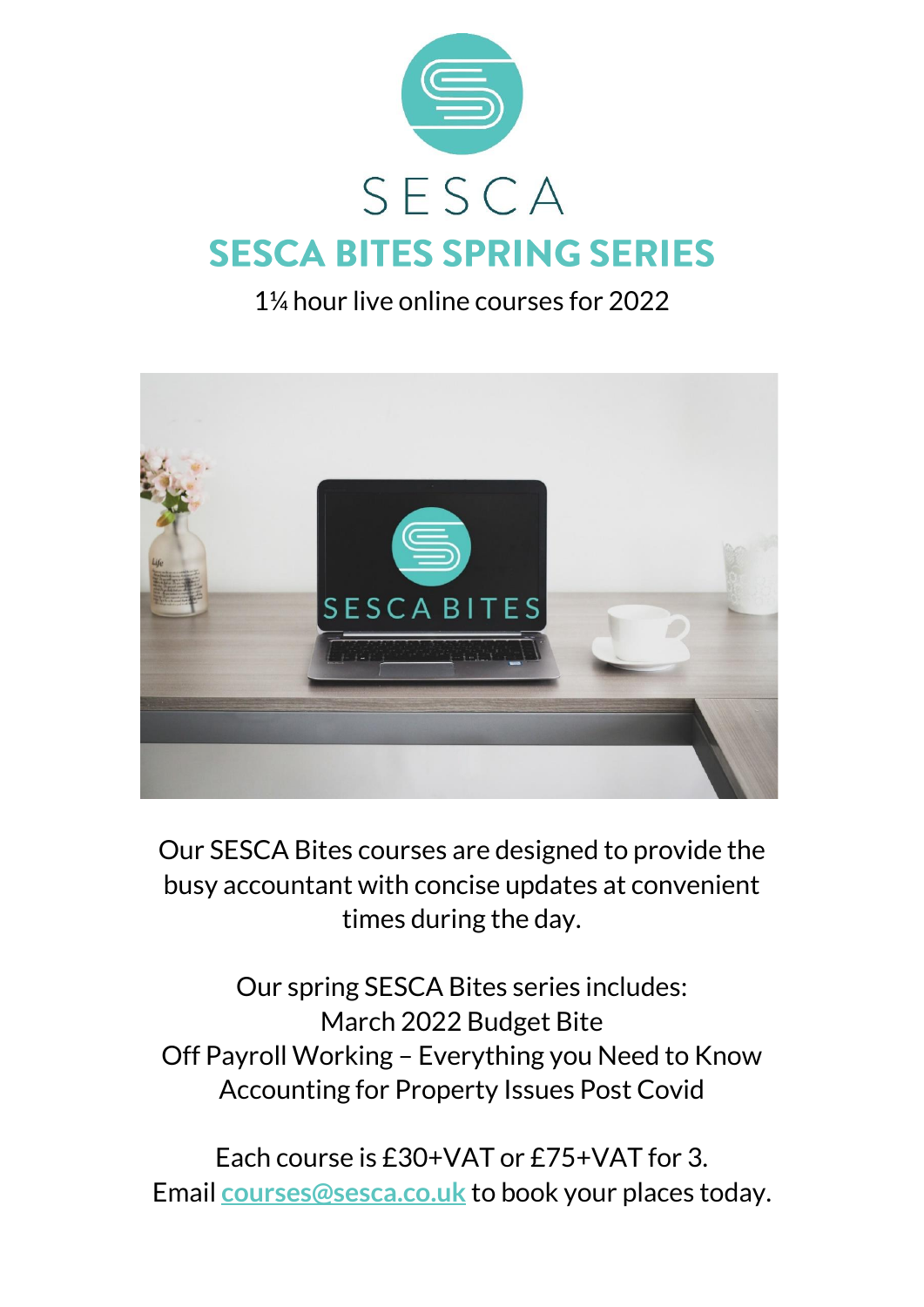

## 1¼ hour live online courses for 2022



Our SESCA Bites courses are designed to provide the busy accountant with concise updates at convenient times during the day.

Our spring SESCA Bites series includes: March 2022 Budget Bite Off Payroll Working – Everything you Need to Know Accounting for Property Issues Post Covid

Each course is £30+VAT or £75+VAT for 3. Email **[courses@sesca.co.uk](mailto:courses@sesca.co.uk?subject=SESCA%20Bites)** to book your places today.